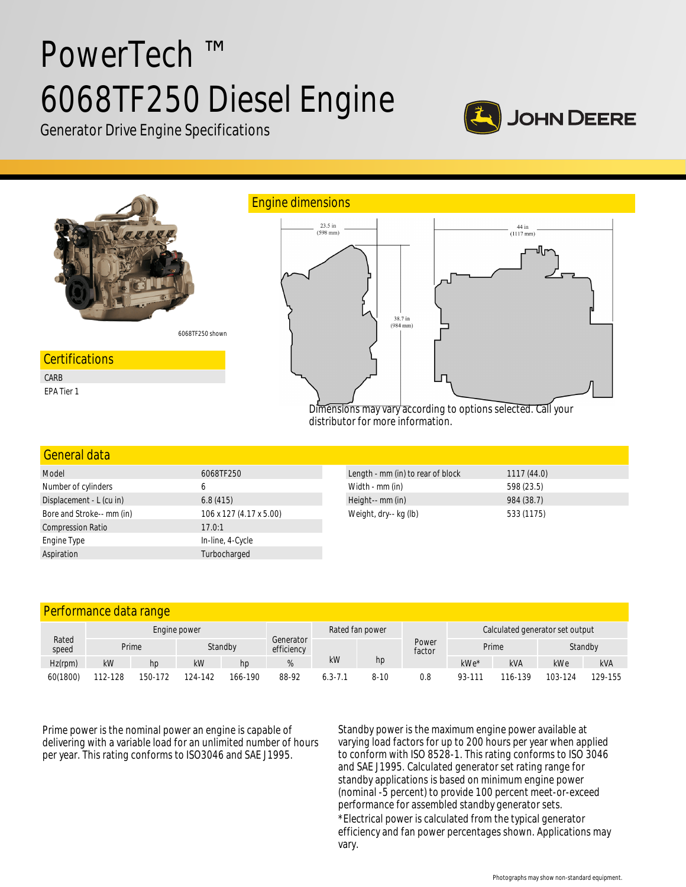# PowerTech ™ 6068TF250 Diesel Engine



Generator Drive Engine Specifications



| 6068TF250               | Length - mm (in) to rear of block | 1117(44.0) |
|-------------------------|-----------------------------------|------------|
| b                       | Width - mm (in)                   | 598 (23.5) |
| 6.8(415)                | Height-- mm (in)                  | 984 (38.7) |
| 106 x 127 (4.17 x 5.00) | Weight, dry-- kg (lb)             | 533 (1175) |
| 17.0:1                  |                                   |            |
| In-line, 4-Cycle        |                                   |            |
| Turbocharged            |                                   |            |
|                         |                                   |            |

| Performance data range |              |         |         |                 |                         |             |                                 |                 |                  |            |         |            |
|------------------------|--------------|---------|---------|-----------------|-------------------------|-------------|---------------------------------|-----------------|------------------|------------|---------|------------|
| Rated<br>speed         | Engine power |         |         | Rated fan power |                         |             | Calculated generator set output |                 |                  |            |         |            |
|                        |              | Prime   | Standby |                 | Generator<br>efficiency |             |                                 | Power<br>factor | Prime<br>Standby |            |         |            |
| $Hz$ (rpm)             | kW           | hp      | kW      | hp              |                         | kW          | hp                              |                 | kWe*             | <b>kVA</b> | kWe     | <b>kVA</b> |
| 60(1800)               | 112-128      | 150-172 | 124-142 | 166-190         | 88-92                   | $6.3 - 7.1$ | 8-10                            | 0.8             | 93-111           | 116-139    | 103-124 | 129-155    |

Prime power is the nominal power an engine is capable of delivering with a variable load for an unlimited number of hours per year. This rating conforms to ISO3046 and SAE J1995.

Standby power is the maximum engine power available at varying load factors for up to 200 hours per year when applied to conform with ISO 8528-1. This rating conforms to ISO 3046 and SAE J1995. Calculated generator set rating range for standby applications is based on minimum engine power (nominal -5 percent) to provide 100 percent meet-or-exceed performance for assembled standby generator sets.

\*Electrical power is calculated from the typical generator efficiency and fan power percentages shown. Applications may vary.